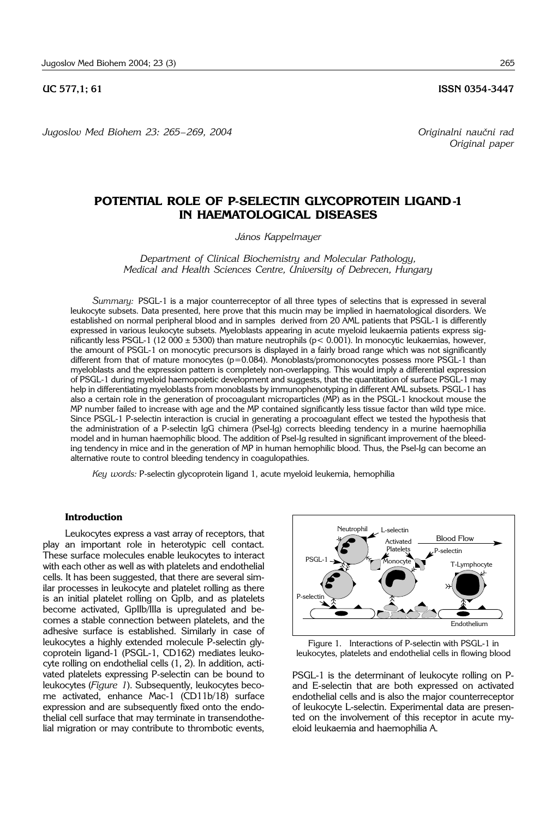**UC 577.1: 61 ISSN 0354-3447** 

*Jugoslov Med Biohem 23: 265*– *269, 2004 Originalni nau~ni rad*

## **POTENTIAL ROLE OF P-SELECTIN GLYCOPROTEIN LIGAND-1 IN HAEMATOLOGICAL DISEASES**

### *János Kappelmayer*

*Department of Clinical Biochemistry and Molecular Pathology, Medical and Health Sciences Centre, University of Debrecen, Hungary*

*Summary:* PSGL-1 is a major counterreceptor of all three types of selectins that is expressed in several leukocyte subsets. Data presented, here prove that this mucin may be implied in haematological disorders. We established on normal peripheral blood and in samples derived from 20 AML patients that PSGL-1 is differently expressed in various leukocyte subsets. Myeloblasts appearing in acute myeloid leukaemia patients express significantly less PSGL-1 (12 000  $\pm$  5300) than mature neutrophils ( $p$  < 0.001). In monocytic leukaemias, however, the amount of PSGL-1 on monocytic precursors is displayed in a fairly broad range which was not significantly different from that of mature monocytes ( $p=0.084$ ). Monoblasts/promononocytes possess more PSGL-1 than myeloblasts and the expression pattern is completely non-overlapping. This would imply a differential expression of PSGL-1 during myeloid haemopoietic development and suggests, that the quantitation of surface PSGL-1 may help in differentiating myeloblasts from monoblasts by immunophenotyping in different AML subsets. PSGL-1 has also a certain role in the generation of procoagulant microparticles (MP) as in the PSGL-1 knockout mouse the MP number failed to increase with age and the MP contained significantly less tissue factor than wild type mice. Since PSGL-1 P-selectin interaction is crucial in generating a procoagulant effect we tested the hypothesis that the administration of a P-selectin IgG chimera (Psel-Ig) corrects bleeding tendency in a murine haemophilia model and in human haemophilic blood. The addition of Psel-Ig resulted in significant improvement of the bleeding tendency in mice and in the generation of MP in human hemophilic blood. Thus, the Psel-Ig can become an alternative route to control bleeding tendency in coagulopathies.

*Key words:* P-selectin glycoprotein ligand 1, acute myeloid leukemia, hemophilia

#### **Introduction**

Leukocytes express a vast array of receptors, that play an important role in heterotypic cell contact. These surface molecules enable leukocytes to interact with each other as well as with platelets and endothelial cells. It has been suggested, that there are several similar processes in leukocyte and platelet rolling as there is an initial platelet rolling on GpIb, and as platelets become activated, GpIIb/IIIa is upregulated and becomes a stable connection between platelets, and the adhesive surface is established. Similarly in case of leukocytes a highly extended molecule P-selectin glycoprotein ligand-1 (PSGL-1, CD162) mediates leukocyte rolling on endothelial cells (1, 2). In addition, activated platelets expressing P-selectin can be bound to leukocytes (*Figure 1*). Subsequently, leukocytes become activated, enhance Mac-1 (CD11b/18) surface expression and are subsequently fixed onto the endothelial cell surface that may terminate in transendothelial migration or may contribute to thrombotic events,





PSGL-1 is the determinant of leukocyte rolling on Pand E-selectin that are both expressed on activated endothelial cells and is also the major counterreceptor of leukocyte L-selectin. Experimental data are presented on the involvement of this receptor in acute myeloid leukaemia and haemophilia A.

*Original paper*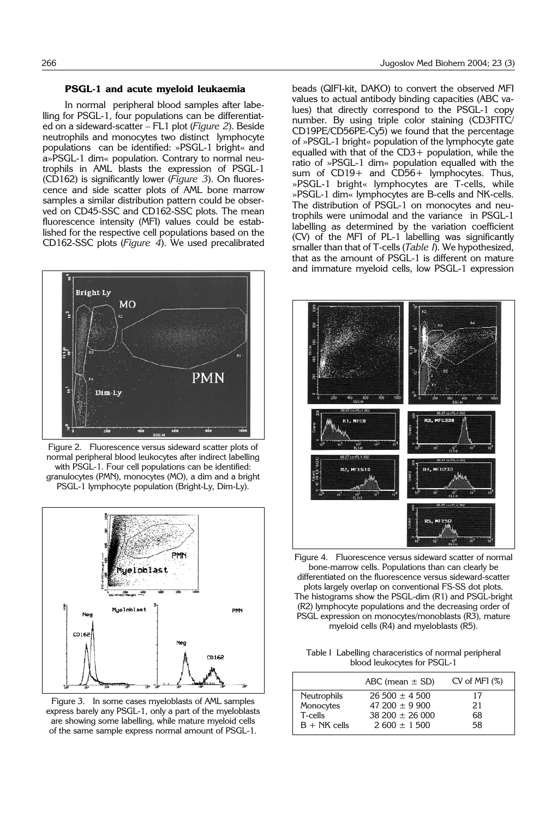#### **PSGL-1 and acute myeloid leukaemia**

In normal peripheral blood samples after labelling for PSGL-1, four populations can be differentiated on a sideward-scatter – FL1 plot (*Figure 2*). Beside neutrophils and monocytes two distinct lymphocyte populations can be identified: »PSGL-1 bright« and a»PSGL-1 dim« population. Contrary to normal neutrophils in AML blasts the expression of PSGL-1 (CD162) is significantly lower (*Figure 3*). On fluorescence and side scatter plots of AML bone marrow samples a similar distribution pattern could be observed on CD45-SSC and CD162-SSC plots. The mean fluorescence intensity (MFI) values could be established for the respective cell populations based on the CD162-SSC plots (*Figure 4*). We used precalibrated



Figure 2. Fluorescence versus sideward scatter plots of normal peripheral blood leukocytes after indirect labelling with PSGL-1. Four cell populations can be identified: granulocytes (PMN), monocytes (MO), a dim and a bright PSGL-1 lymphocyte population (Bright-Ly, Dim-Ly).



Figure 3. In some cases myeloblasts of AML samples express barely any PSGL-1, only a part of the myeloblasts are showing some labelling, while mature myeloid cells of the same sample express normal amount of PSGL-1.

beads (QIFI-kit, DAKO) to convert the observed MFI values to actual antibody binding capacities (ABC values) that directly correspond to the PSGL-1 copy number. By using triple color staining (CD3FITC/ CD19PE/CD56PE-Cy5) we found that the percentage of »PSGL-1 bright« population of the lymphocyte gate equalled with that of the CD3+ population, while the ratio of »PSGL-1 dim« population equalled with the sum of CD19+ and CD56+ lymphocytes. Thus, »PSGL-1 bright« lymphocytes are T-cells, while »PSGL-1 dim« lymphocytes are B-cells and NK-cells. The distribution of PSGL-1 on monocytes and neutrophils were unimodal and the variance in PSGL-1 labelling as determined by the variation coefficient (CV) of the MFI of PL-1 labelling was significantly smaller than that of T-cells (*Table I*). We hypothesized, that as the amount of PSGL-1 is different on mature and immature myeloid cells, low PSGL-1 expression



Figure 4. Fluorescence versus sideward scatter of normal bone-marrow cells. Populations than can clearly be differentiated on the fluorescence versus sideward-scatter plots largely overlap on conventional FS-SS dot plots. The histograms show the PSGL-dim (R1) and PSGL-bright (R2) lymphocyte populations and the decreasing order of PSGL expression on monocytes/monoblasts (R3), mature myeloid cells (R4) and myeloblasts (R5).

Table I Labelling characeristics of normal peripheral blood leukocytes for PSGL-1

|                    | ABC (mean $\pm$ SD)   | CV of MFI (%) |
|--------------------|-----------------------|---------------|
| <b>Neutrophils</b> | $26\,500 \pm 4\,500$  | 17            |
| Monocytes          | $47200 \pm 9900$      | 21            |
| T-cells            | $38\,200 \pm 26\,000$ | 68            |
| $B + NK$ cells     | $2.600 + 1.500$       | 58            |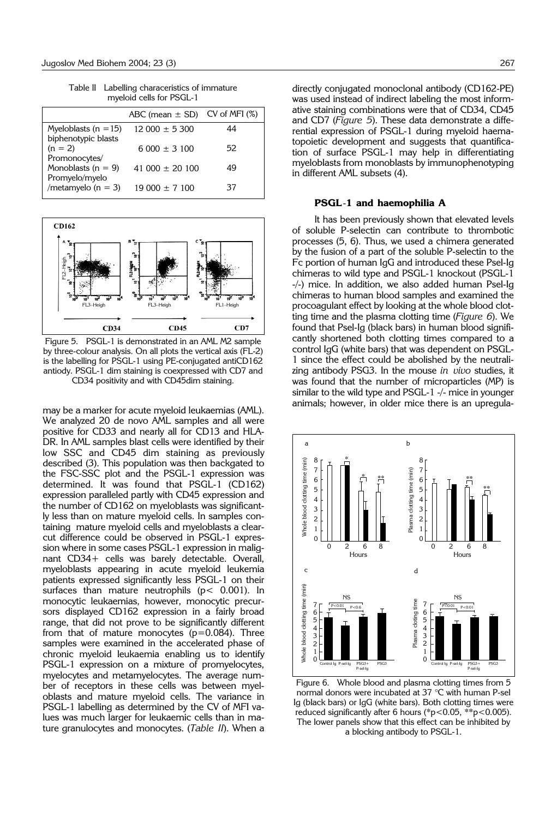Table II Labelling characeristics of immature myeloid cells for PSGL-1

|                                                 | ABC (mean $\pm$ SD) CV of MFI (%) |    |
|-------------------------------------------------|-----------------------------------|----|
| Myeloblasts ( $n = 15$ )<br>biphenotypic blasts | $12000 \pm 5300$                  | 44 |
| $(n = 2)$<br>Promonocytes/                      | $6000 + 3100$                     | 52 |
| Monoblasts ( $n = 9$ )<br>Promyelo/myelo        | $41,000 + 20,100$                 | 49 |
| /metamyelo ( $n = 3$ )                          | $19000 \pm 7100$                  | 37 |



Figure 5. PSGL-1 is demonstrated in an AML M2 sample by three-colour analysis. On all plots the vertical axis (FL-2) is the labelling for PSGL-1 using PE-conjugated antiCD162 antiody. PSGL-1 dim staining is coexpressed with CD7 and CD34 positivity and with CD45dim staining.

may be a marker for acute myeloid leukaemias (AML). We analyzed 20 de novo AML samples and all were positive for CD33 and nearly all for CD13 and HLA-DR. In AML samples blast cells were identified by their low SSC and CD45 dim staining as previously described (3). This population was then backgated to the FSC-SSC plot and the PSGL-1 expression was determined. It was found that PSGL-1 (CD162) expression paralleled partly with CD45 expression and the number of CD162 on myeloblasts was significantly less than on mature myeloid cells. In samples containing mature myeloid cells and myeloblasts a clearcut difference could be observed in PSGL-1 expression where in some cases PSGL-1 expression in malignant CD34+ cells was barely detectable. Overall, myeloblasts appearing in acute myeloid leukemia patients expressed significantly less PSGL-1 on their surfaces than mature neutrophils ( $p < 0.001$ ). In monocytic leukaemias, however, monocytic precursors displayed CD162 expression in a fairly broad range, that did not prove to be significantly different from that of mature monocytes  $(p=0.084)$ . Three samples were examined in the accelerated phase of chronic myeloid leukaemia enabling us to identify PSGL-1 expression on a mixture of promyelocytes, myelocytes and metamyelocytes. The average number of receptors in these cells was between myeloblasts and mature myeloid cells. The variance in PSGL-1 labelling as determined by the CV of MFI values was much larger for leukaemic cells than in mature granulocytes and monocytes. (*Table II*). When a

directly conjugated monoclonal antibody (CD162-PE) was used instead of indirect labeling the most informative staining combinations were that of CD34, CD45 and CD7 (*Figure 5*). These data demonstrate a differential expression of PSGL-1 during myeloid haematopoietic development and suggests that quantification of surface PSGL-1 may help in differentiating myeloblasts from monoblasts by immunophenotyping in different AML subsets (4).

#### **PSGL**-**1 and haemophilia A**

It has been previously shown that elevated levels of soluble P-selectin can contribute to thrombotic processes (5, 6). Thus, we used a chimera generated by the fusion of a part of the soluble P-selectin to the Fc portion of human IgG and introduced these Psel-Ig chimeras to wild type and PSGL-1 knockout (PSGL-1 -/-) mice. In addition, we also added human Psel-Ig chimeras to human blood samples and examined the procoagulant effect by looking at the whole blood clotting time and the plasma clotting time (*Figure 6*). We found that Psel-Ig (black bars) in human blood significantly shortened both clotting times compared to a control IgG (white bars) that was dependent on PSGL-1 since the effect could be abolished by the neutralizing antibody PSG3. In the mouse *in vivo* studies, it was found that the number of microparticles (MP) is similar to the wild type and PSGL-1 -/- mice in younger animals; however, in older mice there is an upregula-



Figure 6. Whole blood and plasma clotting times from 5 normal donors were incubated at 37 °C with human P-sel Ig (black bars) or IgG (white bars). Both clotting times were reduced significantly after 6 hours (\*p<0.05, \*\*p<0.005). The lower panels show that this effect can be inhibited by a blocking antibody to PSGL-1.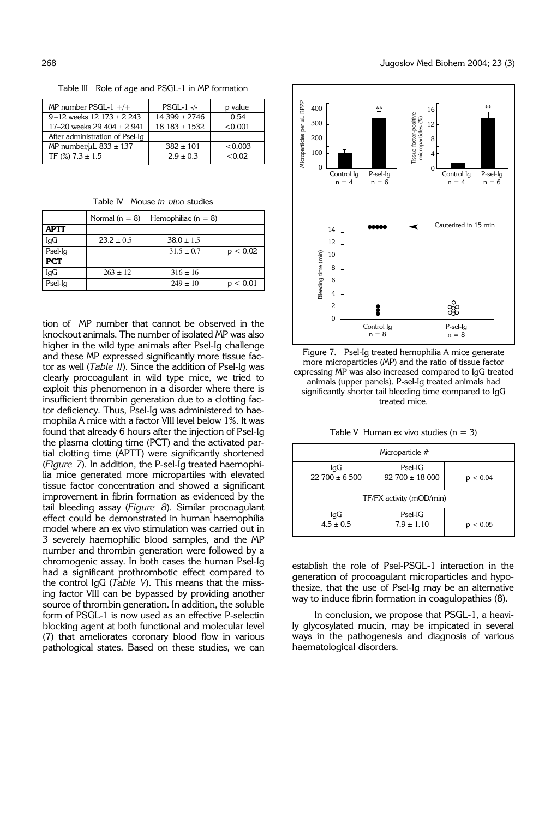Table III Role of age and PSGL-1 in MP formation

| MP number $PSGL-1$ +/+            | $PSGL-1$ -/-     | p value |
|-----------------------------------|------------------|---------|
| $9 - 12$ weeks 12 173 $\pm$ 2 243 | $14\,399 + 2746$ | 0.54    |
| 17-20 weeks 29 404 $\pm$ 2 941    | $18183 \pm 1532$ | < 0.001 |
| After administration of Psel-Iq   |                  |         |
| MP number/ $\mu$ L 833 $\pm$ 137  | $382 \pm 101$    | < 0.003 |
| TF $(\%)$ 7.3 $\pm$ 1.5           | $2.9 \pm 0.3$    | < 0.02  |

Table IV Mouse *in vivo* studies

|             | Normal $(n = 8)$ | Hemophiliac ( $n = 8$ ) |        |
|-------------|------------------|-------------------------|--------|
| <b>APTT</b> |                  |                         |        |
| IgG         | $23.2 \pm 0.5$   | $38.0 \pm 1.5$          |        |
| Psel-Ig     |                  | $31.5 \pm 0.7$          | < 0.02 |
| <b>PCT</b>  |                  |                         |        |
| IgG         | $263 \pm 12$     | $316 \pm 16$            |        |
| Psel-Ig     |                  | $249 \pm 10$            | < 0.01 |

tion of MP number that cannot be observed in the knockout animals. The number of isolated MP was also higher in the wild type animals after Psel-Ig challenge and these MP expressed significantly more tissue factor as well (*Table II*). Since the addition of Psel-Ig was clearly procoagulant in wild type mice, we tried to exploit this phenomenon in a disorder where there is insufficient thrombin generation due to a clotting factor deficiency. Thus, Psel-Ig was administered to haemophila A mice with a factor VIII level below 1%. It was found that already 6 hours after the injection of Psel-Ig the plasma clotting time (PCT) and the activated partial clotting time (APTT) were significantly shortened (*Figure 7*). In addition, the P-sel-Ig treated haemophilia mice generated more micropartiles with elevated tissue factor concentration and showed a significant improvement in fibrin formation as evidenced by the tail bleeding assay (*Figure 8*). Similar procoagulant effect could be demonstrated in human haemophilia model where an ex vivo stimulation was carried out in 3 severely haemophilic blood samples, and the MP number and thrombin generation were followed by a chromogenic assay. In both cases the human Psel-Ig had a significant prothrombotic effect compared to the control IgG (*Table V*). This means that the missing factor VIII can be bypassed by providing another source of thrombin generation. In addition, the soluble form of PSGL-1 is now used as an effective P-selectin blocking agent at both functional and molecular level (7) that ameliorates coronary blood flow in various pathological states. Based on these studies, we can



Figure 7. Psel-Ig treated hemophilia A mice generate more microparticles (MP) and the ratio of tissue factor expressing MP was also increased compared to IgG treated animals (upper panels). P-sel-Ig treated animals had significantly shorter tail bleeding time compared to IgG treated mice.

Table V Human ex vivo studies  $(n = 3)$ 

| Microparticle #             |                                     |            |  |  |  |
|-----------------------------|-------------------------------------|------------|--|--|--|
| IgG<br>$22\,700 \pm 6\,500$ | $P$ sel-IG<br>$92\,700 \pm 18\,000$ | ${}< 0.04$ |  |  |  |
| TF/FX activity (mOD/min)    |                                     |            |  |  |  |
| lgG<br>$4.5 \pm 0.5$        | $P$ sel-IG<br>$7.9 \pm 1.10$        | ${}< 0.05$ |  |  |  |

establish the role of Psel-PSGL-1 interaction in the generation of procoagulant microparticles and hypothesize, that the use of Psel-Ig may be an alternative way to induce fibrin formation in coagulopathies (8).

In conclusion, we propose that PSGL-1, a heavily glycosylated mucin, may be impicated in several ways in the pathogenesis and diagnosis of various haematological disorders.